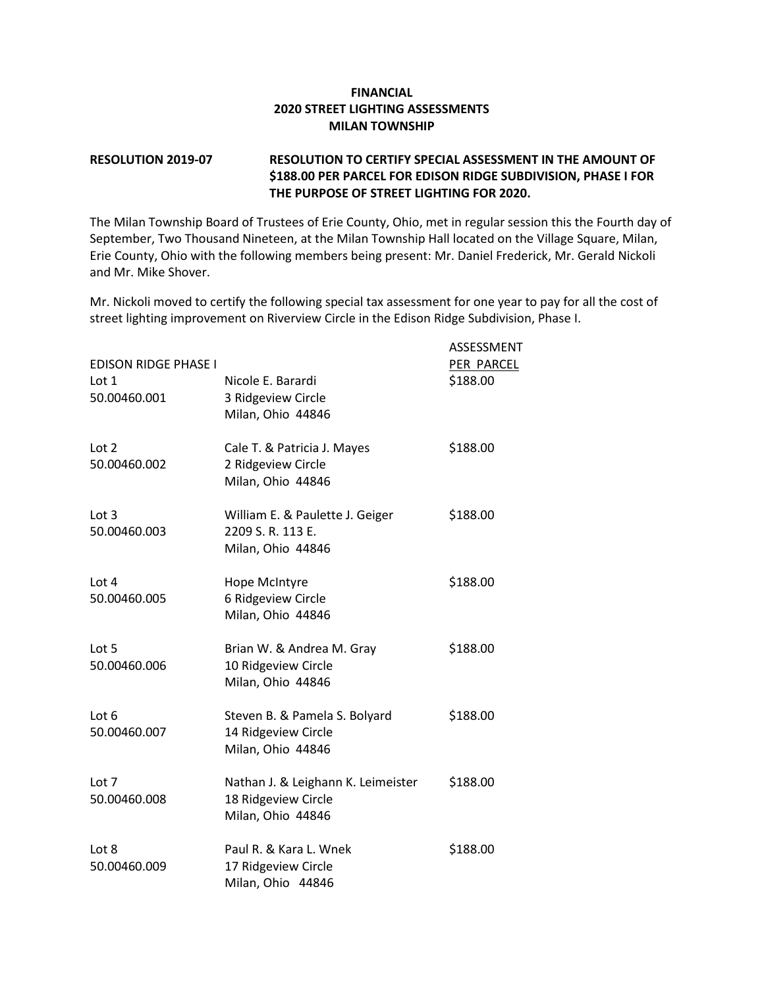## **FINANCIAL 2020 STREET LIGHTING ASSESSMENTS MILAN TOWNSHIP**

## **RESOLUTION 2019-07 RESOLUTION TO CERTIFY SPECIAL ASSESSMENT IN THE AMOUNT OF \$188.00 PER PARCEL FOR EDISON RIDGE SUBDIVISION, PHASE I FOR THE PURPOSE OF STREET LIGHTING FOR 2020.**

The Milan Township Board of Trustees of Erie County, Ohio, met in regular session this the Fourth day of September, Two Thousand Nineteen, at the Milan Township Hall located on the Village Square, Milan, Erie County, Ohio with the following members being present: Mr. Daniel Frederick, Mr. Gerald Nickoli and Mr. Mike Shover.

Mr. Nickoli moved to certify the following special tax assessment for one year to pay for all the cost of street lighting improvement on Riverview Circle in the Edison Ridge Subdivision, Phase I.

| <b>EDISON RIDGE PHASE I</b><br>Lot 1<br>50.00460.001 | Nicole E. Barardi<br>3 Ridgeview Circle<br>Milan, Ohio 44846                   | ASSESSMENT<br>PER PARCEL<br>\$188.00 |
|------------------------------------------------------|--------------------------------------------------------------------------------|--------------------------------------|
| Lot 2<br>50.00460.002                                | Cale T. & Patricia J. Mayes<br>2 Ridgeview Circle<br>Milan, Ohio 44846         | \$188.00                             |
| Lot 3<br>50.00460.003                                | William E. & Paulette J. Geiger<br>2209 S.R. 113 E.<br>Milan, Ohio 44846       | \$188.00                             |
| Lot $4$<br>50.00460.005                              | Hope McIntyre<br>6 Ridgeview Circle<br>Milan, Ohio 44846                       | \$188.00                             |
| Lot 5<br>50.00460.006                                | Brian W. & Andrea M. Gray<br>10 Ridgeview Circle<br>Milan, Ohio 44846          | \$188.00                             |
| Lot 6<br>50.00460.007                                | Steven B. & Pamela S. Bolyard<br>14 Ridgeview Circle<br>Milan, Ohio 44846      | \$188.00                             |
| Lot 7<br>50.00460.008                                | Nathan J. & Leighann K. Leimeister<br>18 Ridgeview Circle<br>Milan, Ohio 44846 | \$188.00                             |
| Lot 8<br>50.00460.009                                | Paul R. & Kara L. Wnek<br>17 Ridgeview Circle<br>Milan, Ohio 44846             | \$188.00                             |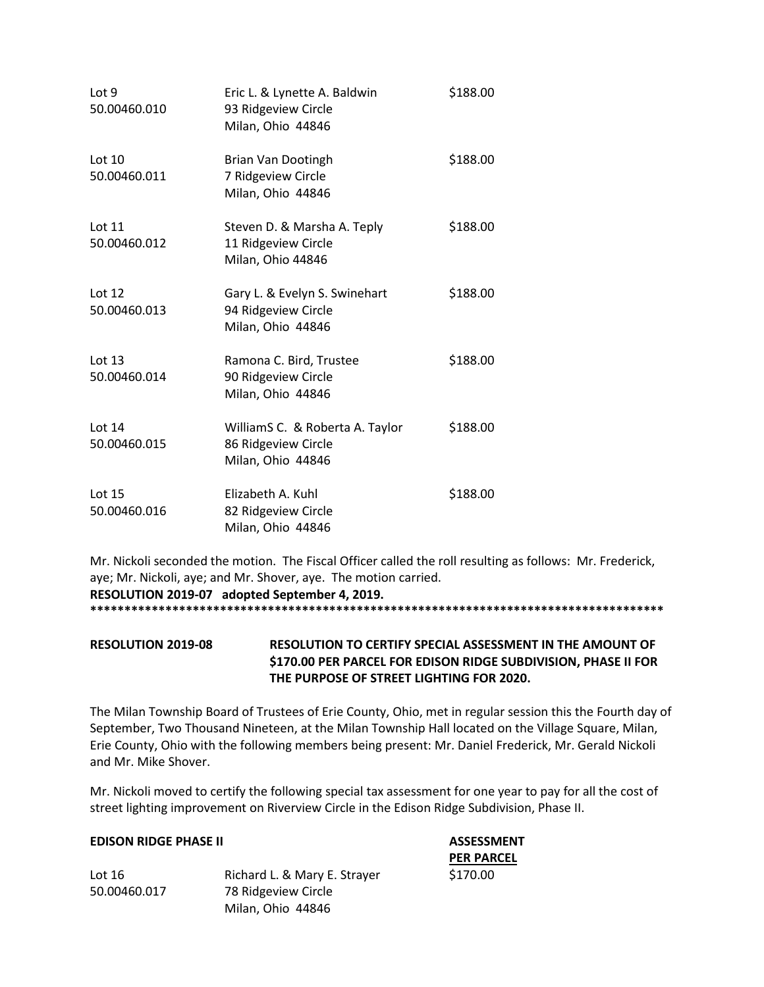| Lot 9<br>50.00460.010    | Eric L. & Lynette A. Baldwin<br>93 Ridgeview Circle<br>Milan, Ohio 44846    | \$188.00 |
|--------------------------|-----------------------------------------------------------------------------|----------|
| Lot $10$<br>50.00460.011 | Brian Van Dootingh<br>7 Ridgeview Circle<br>Milan, Ohio 44846               | \$188.00 |
| Lot 11<br>50.00460.012   | Steven D. & Marsha A. Teply<br>11 Ridgeview Circle<br>Milan, Ohio 44846     | \$188.00 |
| Lot $12$<br>50.00460.013 | Gary L. & Evelyn S. Swinehart<br>94 Ridgeview Circle<br>Milan, Ohio 44846   | \$188.00 |
| Lot 13<br>50.00460.014   | Ramona C. Bird, Trustee<br>90 Ridgeview Circle<br>Milan, Ohio 44846         | \$188.00 |
| Lot 14<br>50.00460.015   | WilliamS C. & Roberta A. Taylor<br>86 Ridgeview Circle<br>Milan, Ohio 44846 | \$188.00 |
| Lot 15<br>50.00460.016   | Elizabeth A. Kuhl<br>82 Ridgeview Circle<br>Milan, Ohio 44846               | \$188.00 |

Mr. Nickoli seconded the motion. The Fiscal Officer called the roll resulting as follows: Mr. Frederick, aye; Mr. Nickoli, aye; and Mr. Shover, aye. The motion carried. **RESOLUTION 2019-07 adopted September 4, 2019.**

**\*\*\*\*\*\*\*\*\*\*\*\*\*\*\*\*\*\*\*\*\*\*\*\*\*\*\*\*\*\*\*\*\*\*\*\*\*\*\*\*\*\*\*\*\*\*\*\*\*\*\*\*\*\*\*\*\*\*\*\*\*\*\*\*\*\*\*\*\*\*\*\*\*\*\*\*\*\*\*\*\*\*\*\***

**RESOLUTION 2019-08 RESOLUTION TO CERTIFY SPECIAL ASSESSMENT IN THE AMOUNT OF \$170.00 PER PARCEL FOR EDISON RIDGE SUBDIVISION, PHASE II FOR THE PURPOSE OF STREET LIGHTING FOR 2020.**

The Milan Township Board of Trustees of Erie County, Ohio, met in regular session this the Fourth day of September, Two Thousand Nineteen, at the Milan Township Hall located on the Village Square, Milan, Erie County, Ohio with the following members being present: Mr. Daniel Frederick, Mr. Gerald Nickoli and Mr. Mike Shover.

Mr. Nickoli moved to certify the following special tax assessment for one year to pay for all the cost of street lighting improvement on Riverview Circle in the Edison Ridge Subdivision, Phase II.

## **EDISON RIDGE PHASE II ASSESSMENT**

|              |                              | <b>PER PAF</b> |
|--------------|------------------------------|----------------|
| Lot 16       | Richard L. & Mary E. Strayer | \$170.00       |
| 50.00460.017 | 78 Ridgeview Circle          |                |
|              | Milan, Ohio 44846            |                |
|              |                              |                |

**R PARCEL**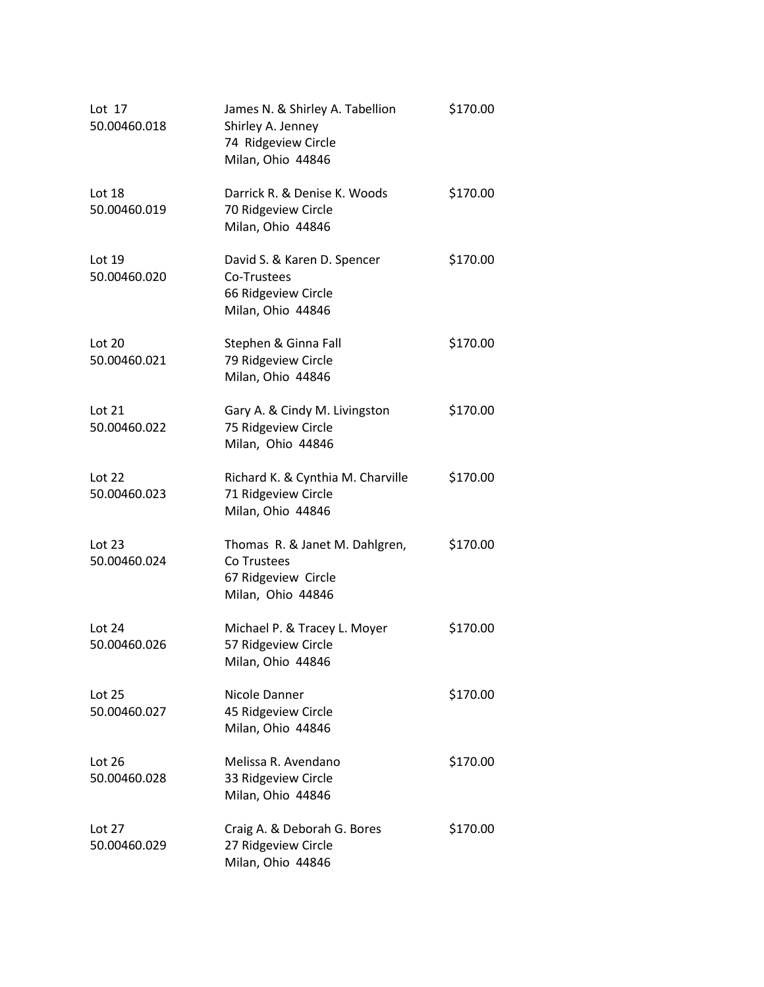| Lot $17$<br>50.00460.018 | James N. & Shirley A. Tabellion<br>Shirley A. Jenney<br>74 Ridgeview Circle<br>Milan, Ohio 44846 | \$170.00 |
|--------------------------|--------------------------------------------------------------------------------------------------|----------|
| Lot 18<br>50.00460.019   | Darrick R. & Denise K. Woods<br>70 Ridgeview Circle<br>Milan, Ohio 44846                         | \$170.00 |
| Lot 19<br>50.00460.020   | David S. & Karen D. Spencer<br>Co-Trustees<br>66 Ridgeview Circle<br>Milan, Ohio 44846           | \$170.00 |
| Lot 20<br>50.00460.021   | Stephen & Ginna Fall<br>79 Ridgeview Circle<br>Milan, Ohio 44846                                 | \$170.00 |
| Lot 21<br>50.00460.022   | Gary A. & Cindy M. Livingston<br>75 Ridgeview Circle<br>Milan, Ohio 44846                        | \$170.00 |
| Lot 22<br>50.00460.023   | Richard K. & Cynthia M. Charville<br>71 Ridgeview Circle<br>Milan, Ohio 44846                    | \$170.00 |
| Lot 23<br>50.00460.024   | Thomas R. & Janet M. Dahlgren,<br>Co Trustees<br>67 Ridgeview Circle<br>Milan, Ohio 44846        | \$170.00 |
| Lot 24<br>50.00460.026   | Michael P. & Tracey L. Moyer<br>57 Ridgeview Circle<br>Milan, Ohio 44846                         | \$170.00 |
| Lot 25<br>50.00460.027   | Nicole Danner<br>45 Ridgeview Circle<br>Milan, Ohio 44846                                        | \$170.00 |
| Lot $26$<br>50.00460.028 | Melissa R. Avendano<br>33 Ridgeview Circle<br>Milan, Ohio 44846                                  | \$170.00 |
| Lot 27<br>50.00460.029   | Craig A. & Deborah G. Bores<br>27 Ridgeview Circle<br>Milan, Ohio 44846                          | \$170.00 |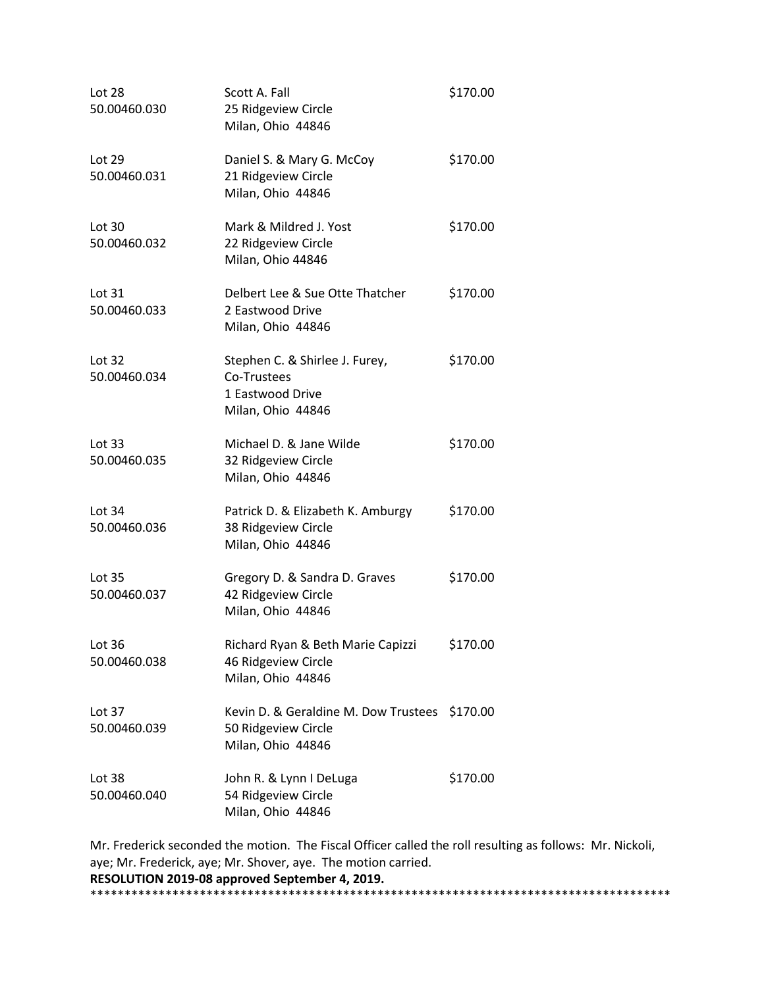| Scott A. Fall<br>25 Ridgeview Circle<br>Milan, Ohio 44846                              | \$170.00                                      |
|----------------------------------------------------------------------------------------|-----------------------------------------------|
| Daniel S. & Mary G. McCoy<br>21 Ridgeview Circle<br>Milan, Ohio 44846                  | \$170.00                                      |
| Mark & Mildred J. Yost<br>22 Ridgeview Circle<br>Milan, Ohio 44846                     | \$170.00                                      |
| Delbert Lee & Sue Otte Thatcher<br>2 Eastwood Drive<br>Milan, Ohio 44846               | \$170.00                                      |
| Stephen C. & Shirlee J. Furey,<br>Co-Trustees<br>1 Eastwood Drive<br>Milan, Ohio 44846 | \$170.00                                      |
| Michael D. & Jane Wilde<br>32 Ridgeview Circle<br>Milan, Ohio 44846                    | \$170.00                                      |
| Patrick D. & Elizabeth K. Amburgy<br>38 Ridgeview Circle<br>Milan, Ohio 44846          | \$170.00                                      |
| Gregory D. & Sandra D. Graves<br>42 Ridgeview Circle<br>Milan, Ohio 44846              | \$170.00                                      |
| Richard Ryan & Beth Marie Capizzi<br>46 Ridgeview Circle<br>Milan, Ohio 44846          | \$170.00                                      |
| 50 Ridgeview Circle<br>Milan, Ohio 44846                                               |                                               |
| John R. & Lynn I DeLuga<br>54 Ridgeview Circle<br>Milan, Ohio 44846                    | \$170.00                                      |
|                                                                                        | Kevin D. & Geraldine M. Dow Trustees \$170.00 |

Mr. Frederick seconded the motion. The Fiscal Officer called the roll resulting as follows: Mr. Nickoli, aye; Mr. Frederick, aye; Mr. Shover, aye. The motion carried. **RESOLUTION 2019-08 approved September 4, 2019.** \*\*\*\*\*\*\*\*\*\*\*\*\*\*\*\*\*\*\*\*\*\*\*\*\*\*\*\*\*\*\*\*\*\*\*\*\*\*\*\*\*\*\*\*\*\*\*\*\*\*\*\*\*\*\*\*\*\*\*\*\*\*\*\*\*\*\*\*\*\*\*\*\*\*\*\*\*\*\*\*\*\*\*\*\*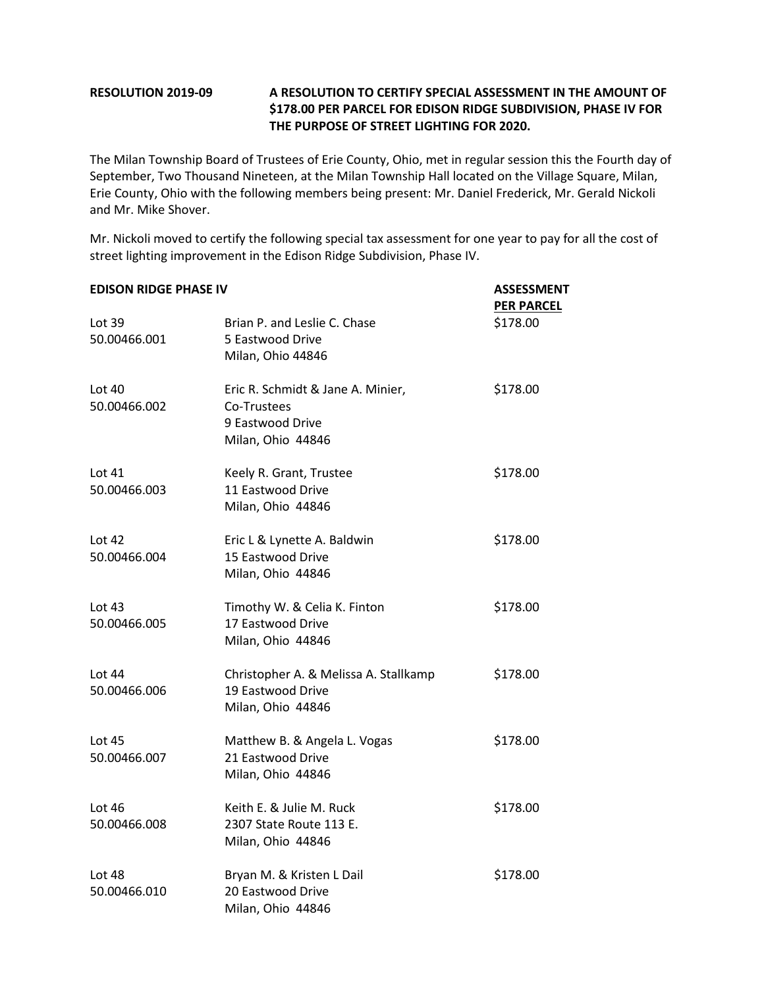## **RESOLUTION 2019-09 A RESOLUTION TO CERTIFY SPECIAL ASSESSMENT IN THE AMOUNT OF \$178.00 PER PARCEL FOR EDISON RIDGE SUBDIVISION, PHASE IV FOR THE PURPOSE OF STREET LIGHTING FOR 2020.**

The Milan Township Board of Trustees of Erie County, Ohio, met in regular session this the Fourth day of September, Two Thousand Nineteen, at the Milan Township Hall located on the Village Square, Milan, Erie County, Ohio with the following members being present: Mr. Daniel Frederick, Mr. Gerald Nickoli and Mr. Mike Shover.

Mr. Nickoli moved to certify the following special tax assessment for one year to pay for all the cost of street lighting improvement in the Edison Ridge Subdivision, Phase IV.

| <b>EDISON RIDGE PHASE IV</b> |                                                                                           | <b>ASSESSMENT</b><br><b>PER PARCEL</b> |  |
|------------------------------|-------------------------------------------------------------------------------------------|----------------------------------------|--|
| Lot 39<br>50.00466.001       | Brian P. and Leslie C. Chase<br>5 Eastwood Drive<br>Milan, Ohio 44846                     | \$178.00                               |  |
| Lot $40$<br>50.00466.002     | Eric R. Schmidt & Jane A. Minier,<br>Co-Trustees<br>9 Eastwood Drive<br>Milan, Ohio 44846 | \$178.00                               |  |
| Lot 41<br>50.00466.003       | Keely R. Grant, Trustee<br>11 Eastwood Drive<br>Milan, Ohio 44846                         | \$178.00                               |  |
| Lot 42<br>50.00466.004       | Eric L & Lynette A. Baldwin<br>15 Eastwood Drive<br>Milan, Ohio 44846                     | \$178.00                               |  |
| Lot $43$<br>50.00466.005     | Timothy W. & Celia K. Finton<br>17 Eastwood Drive<br>Milan, Ohio 44846                    | \$178.00                               |  |
| Lot 44<br>50.00466.006       | Christopher A. & Melissa A. Stallkamp<br>19 Eastwood Drive<br>Milan, Ohio 44846           | \$178.00                               |  |
| Lot 45<br>50.00466.007       | Matthew B. & Angela L. Vogas<br>21 Eastwood Drive<br>Milan, Ohio 44846                    | \$178.00                               |  |
| Lot 46<br>50.00466.008       | Keith E. & Julie M. Ruck<br>2307 State Route 113 E.<br>Milan, Ohio 44846                  | \$178.00                               |  |
| Lot 48<br>50.00466.010       | Bryan M. & Kristen L Dail<br>20 Eastwood Drive<br>Milan, Ohio 44846                       | \$178.00                               |  |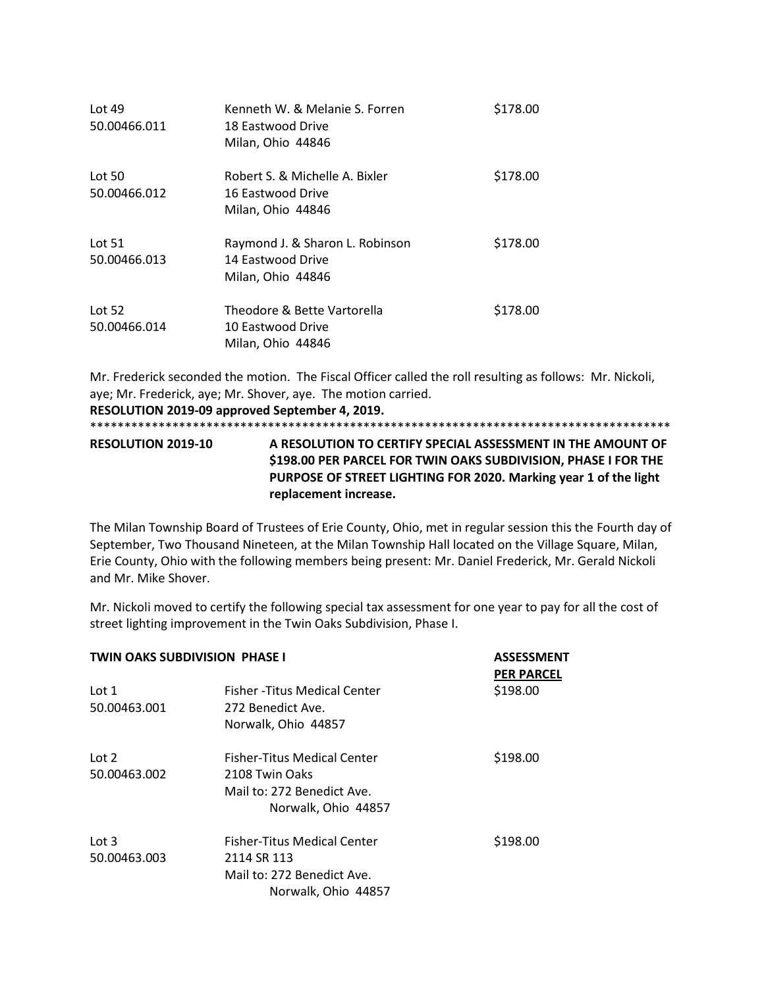| Lot $49$<br>50.00466.011 | Kenneth W. & Melanie S. Forren<br>18 Eastwood Drive<br>Milan, Ohio 44846  | \$178.00 |
|--------------------------|---------------------------------------------------------------------------|----------|
| Lot 50<br>50.00466.012   | Robert S. & Michelle A. Bixler<br>16 Eastwood Drive<br>Milan, Ohio 44846  | \$178.00 |
| Lot $51$<br>50.00466.013 | Raymond J. & Sharon L. Robinson<br>14 Eastwood Drive<br>Milan, Ohio 44846 | \$178.00 |
| Lot $52$<br>50.00466.014 | Theodore & Bette Vartorella<br>10 Eastwood Drive<br>Milan, Ohio 44846     | \$178.00 |

Mr. Frederick seconded the motion. The Fiscal Officer called the roll resulting as follows: Mr. Nickoli, aye; Mr. Frederick, aye; Mr. Shover, aye. The motion carried. **RESOLUTION 2019-09 approved September 4, 2019.** \*\*\*\*\*\*\*\*\*\*\*\*\*\*\*\*\*\*\*\*\*\*\*\*\*\*\*\*\*\*\*\*\*\*\*\*\*\*\*\*\*\*\*\*\*\*\*\*\*\*\*\*\*\*\*\*\*\*\*\*\*\*\*\*\*\*\*\*\*\*\*\*\*\*\*\*\*\*\*\*\*\*\*\*\*

**RESOLUTION 2019-10 A RESOLUTION TO CERTIFY SPECIAL ASSESSMENT IN THE AMOUNT OF \$198.00 PER PARCEL FOR TWIN OAKS SUBDIVISION, PHASE I FOR THE PURPOSE OF STREET LIGHTING FOR 2020. Marking year 1 of the light replacement increase.** 

The Milan Township Board of Trustees of Erie County, Ohio, met in regular session this the Fourth day of September, Two Thousand Nineteen, at the Milan Township Hall located on the Village Square, Milan, Erie County, Ohio with the following members being present: Mr. Daniel Frederick, Mr. Gerald Nickoli and Mr. Mike Shover.

Mr. Nickoli moved to certify the following special tax assessment for one year to pay for all the cost of street lighting improvement in the Twin Oaks Subdivision, Phase I.

| <b>TWIN OAKS SUBDIVISION PHASE I</b> |                                                                                                        | <b>ASSESSMENT</b><br><b>PER PARCEL</b> |
|--------------------------------------|--------------------------------------------------------------------------------------------------------|----------------------------------------|
| Lot 1<br>50.00463.001                | Fisher - Titus Medical Center<br>272 Benedict Ave.<br>Norwalk, Ohio 44857                              | \$198.00                               |
| Lot 2<br>50.00463.002                | Fisher-Titus Medical Center<br>2108 Twin Oaks<br>Mail to: 272 Benedict Ave.<br>Norwalk, Ohio 44857     | \$198.00                               |
| Lot 3<br>50.00463.003                | <b>Fisher-Titus Medical Center</b><br>2114 SR 113<br>Mail to: 272 Benedict Ave.<br>Norwalk, Ohio 44857 | \$198.00                               |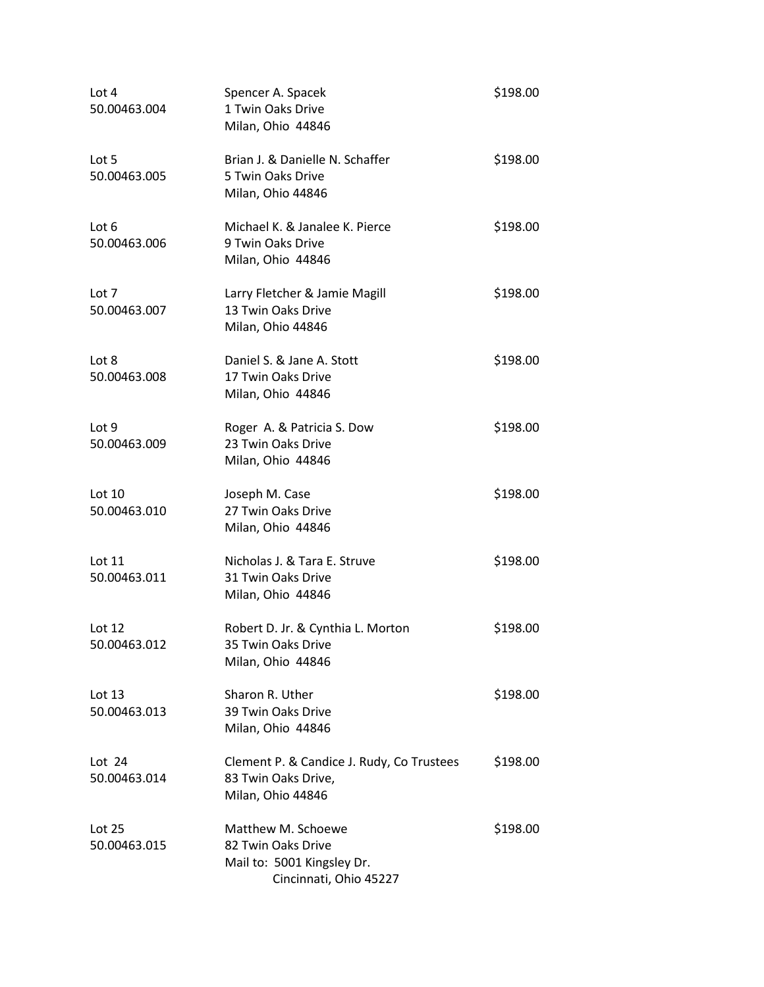| Lot 4<br>50.00463.004    | Spencer A. Spacek<br>1 Twin Oaks Drive<br>Milan, Ohio 44846                                      | \$198.00 |
|--------------------------|--------------------------------------------------------------------------------------------------|----------|
| Lot 5<br>50.00463.005    | Brian J. & Danielle N. Schaffer<br>5 Twin Oaks Drive<br>Milan, Ohio 44846                        | \$198.00 |
| Lot 6<br>50.00463.006    | Michael K. & Janalee K. Pierce<br>9 Twin Oaks Drive<br>Milan, Ohio 44846                         | \$198.00 |
| Lot 7<br>50.00463.007    | Larry Fletcher & Jamie Magill<br>13 Twin Oaks Drive<br>Milan, Ohio 44846                         | \$198.00 |
| Lot 8<br>50.00463.008    | Daniel S. & Jane A. Stott<br>17 Twin Oaks Drive<br>Milan, Ohio 44846                             | \$198.00 |
| Lot 9<br>50.00463.009    | Roger A. & Patricia S. Dow<br>23 Twin Oaks Drive<br>Milan, Ohio 44846                            | \$198.00 |
| Lot $10$<br>50.00463.010 | Joseph M. Case<br>27 Twin Oaks Drive<br>Milan, Ohio 44846                                        | \$198.00 |
| Lot 11<br>50.00463.011   | Nicholas J. & Tara E. Struve<br>31 Twin Oaks Drive<br>Milan, Ohio 44846                          | \$198.00 |
| Lot $12$<br>50.00463.012 | Robert D. Jr. & Cynthia L. Morton<br>35 Twin Oaks Drive<br>Milan, Ohio 44846                     | \$198.00 |
| Lot $13$<br>50.00463.013 | Sharon R. Uther<br>39 Twin Oaks Drive<br>Milan, Ohio 44846                                       | \$198.00 |
| Lot $24$<br>50.00463.014 | Clement P. & Candice J. Rudy, Co Trustees<br>83 Twin Oaks Drive,<br>Milan, Ohio 44846            | \$198.00 |
| Lot 25<br>50.00463.015   | Matthew M. Schoewe<br>82 Twin Oaks Drive<br>Mail to: 5001 Kingsley Dr.<br>Cincinnati, Ohio 45227 | \$198.00 |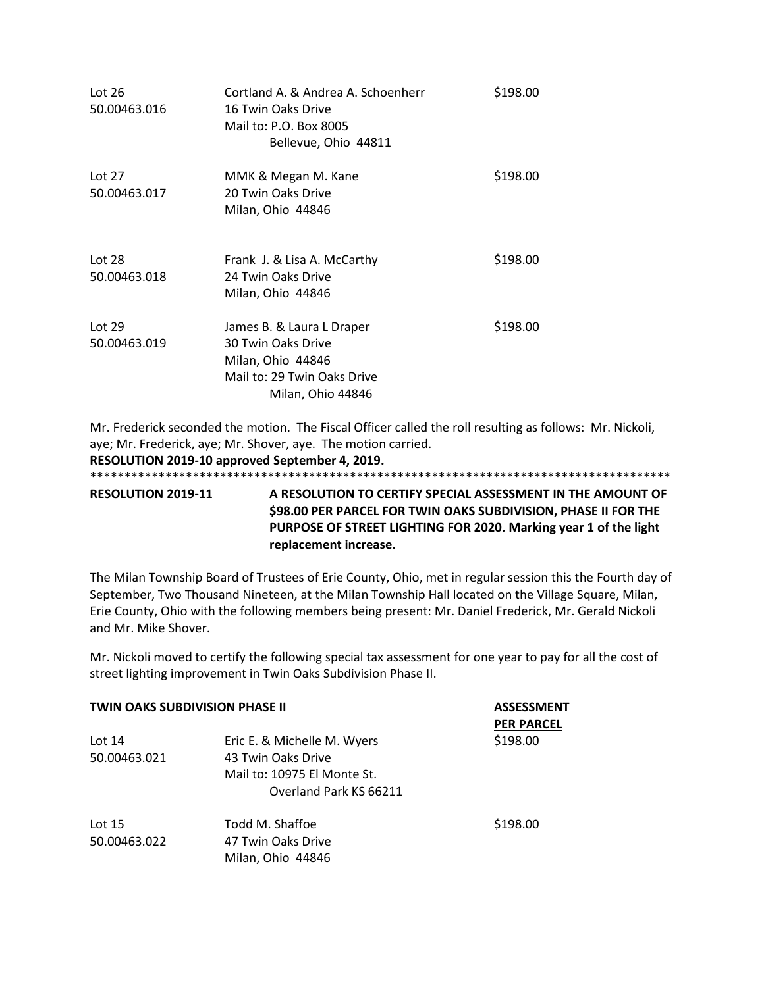| Lot $26$<br>50.00463.016 | Cortland A. & Andrea A. Schoenherr<br>16 Twin Oaks Drive<br>Mail to: P.O. Box 8005<br>Bellevue, Ohio 44811               | \$198.00 |
|--------------------------|--------------------------------------------------------------------------------------------------------------------------|----------|
| Lot $27$<br>50.00463.017 | MMK & Megan M. Kane<br>20 Twin Oaks Drive<br>Milan, Ohio 44846                                                           | \$198.00 |
| Lot 28<br>50.00463.018   | Frank J. & Lisa A. McCarthy<br>24 Twin Oaks Drive<br>Milan, Ohio 44846                                                   | \$198.00 |
| Lot $29$<br>50.00463.019 | James B. & Laura L Draper<br>30 Twin Oaks Drive<br>Milan, Ohio 44846<br>Mail to: 29 Twin Oaks Drive<br>Milan, Ohio 44846 | \$198.00 |

Mr. Frederick seconded the motion. The Fiscal Officer called the roll resulting as follows: Mr. Nickoli, aye; Mr. Frederick, aye; Mr. Shover, aye. The motion carried.

**RESOLUTION 2019-10 approved September 4, 2019.**

\*\*\*\*\*\*\*\*\*\*\*\*\*\*\*\*\*\*\*\*\*\*\*\*\*\*\*\*\*\*\*\*\*\*\*\*\*\*\*\*\*\*\*\*\*\*\*\*\*\*\*\*\*\*\*\*\*\*\*\*\*\*\*\*\*\*\*\*\*\*\*\*\*\*\*\*\*\*\*\*\*\*\*\*\*

**RESOLUTION 2019-11 A RESOLUTION TO CERTIFY SPECIAL ASSESSMENT IN THE AMOUNT OF \$98.00 PER PARCEL FOR TWIN OAKS SUBDIVISION, PHASE II FOR THE PURPOSE OF STREET LIGHTING FOR 2020. Marking year 1 of the light replacement increase.**

The Milan Township Board of Trustees of Erie County, Ohio, met in regular session this the Fourth day of September, Two Thousand Nineteen, at the Milan Township Hall located on the Village Square, Milan, Erie County, Ohio with the following members being present: Mr. Daniel Frederick, Mr. Gerald Nickoli and Mr. Mike Shover.

Mr. Nickoli moved to certify the following special tax assessment for one year to pay for all the cost of street lighting improvement in Twin Oaks Subdivision Phase II.

| <b>TWIN OAKS SUBDIVISION PHASE II</b> |                             | <b>ASSESSMENT</b><br><b>PER PARCEL</b> |
|---------------------------------------|-----------------------------|----------------------------------------|
| Lot $14$                              | Eric E. & Michelle M. Wyers | \$198.00                               |
| 50.00463.021                          | 43 Twin Oaks Drive          |                                        |
|                                       | Mail to: 10975 El Monte St. |                                        |
|                                       | Overland Park KS 66211      |                                        |
| Lot $15$                              | Todd M. Shaffoe             | \$198.00                               |
| 50.00463.022                          | 47 Twin Oaks Drive          |                                        |
|                                       | Milan, Ohio 44846           |                                        |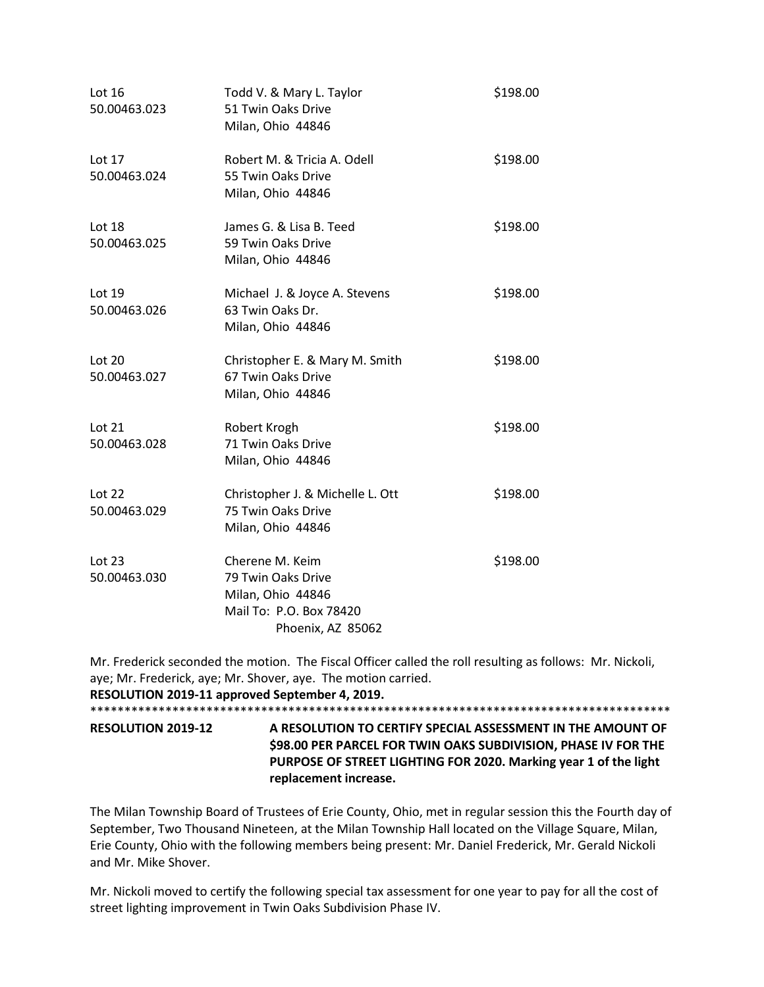| Lot $16$<br>50.00463.023 | Todd V. & Mary L. Taylor<br>51 Twin Oaks Drive<br>Milan, Ohio 44846                                        | \$198.00 |
|--------------------------|------------------------------------------------------------------------------------------------------------|----------|
| Lot 17<br>50.00463.024   | Robert M. & Tricia A. Odell<br>55 Twin Oaks Drive<br>Milan, Ohio 44846                                     | \$198.00 |
| Lot 18<br>50.00463.025   | James G. & Lisa B. Teed<br>59 Twin Oaks Drive<br>Milan, Ohio 44846                                         | \$198.00 |
| Lot 19<br>50.00463.026   | Michael J. & Joyce A. Stevens<br>63 Twin Oaks Dr.<br>Milan, Ohio 44846                                     | \$198.00 |
| Lot $20$<br>50.00463.027 | Christopher E. & Mary M. Smith<br>67 Twin Oaks Drive<br>Milan, Ohio 44846                                  | \$198.00 |
| Lot $21$<br>50.00463.028 | Robert Krogh<br>71 Twin Oaks Drive<br>Milan, Ohio 44846                                                    | \$198.00 |
| Lot $22$<br>50.00463.029 | Christopher J. & Michelle L. Ott<br>75 Twin Oaks Drive<br>Milan, Ohio 44846                                | \$198.00 |
| Lot $23$<br>50.00463.030 | Cherene M. Keim<br>79 Twin Oaks Drive<br>Milan, Ohio 44846<br>Mail To: P.O. Box 78420<br>Phoenix, AZ 85062 | \$198.00 |

Mr. Frederick seconded the motion. The Fiscal Officer called the roll resulting as follows: Mr. Nickoli, aye; Mr. Frederick, aye; Mr. Shover, aye. The motion carried. **RESOLUTION 2019-11 approved September 4, 2019.** \*\*\*\*\*\*\*\*\*\*\*\*\*\*\*\*\*\*\*\*\*\*\*\*\*\*\*\*\*\*\*\*\*\*\*\*\*\*\*\*\*\*\*\*\*\*\*\*\*\*\*\*\*\*\*\*\*\*\*\*\*\*\*\*\*\*\*\*\*\*\*\*\*\*\*\*\*\*\*\*\*\*\*\*\* **RESOLUTION 2019-12 A RESOLUTION TO CERTIFY SPECIAL ASSESSMENT IN THE AMOUNT OF \$98.00 PER PARCEL FOR TWIN OAKS SUBDIVISION, PHASE IV FOR THE PURPOSE OF STREET LIGHTING FOR 2020. Marking year 1 of the light replacement increase.** 

The Milan Township Board of Trustees of Erie County, Ohio, met in regular session this the Fourth day of September, Two Thousand Nineteen, at the Milan Township Hall located on the Village Square, Milan, Erie County, Ohio with the following members being present: Mr. Daniel Frederick, Mr. Gerald Nickoli and Mr. Mike Shover.

Mr. Nickoli moved to certify the following special tax assessment for one year to pay for all the cost of street lighting improvement in Twin Oaks Subdivision Phase IV.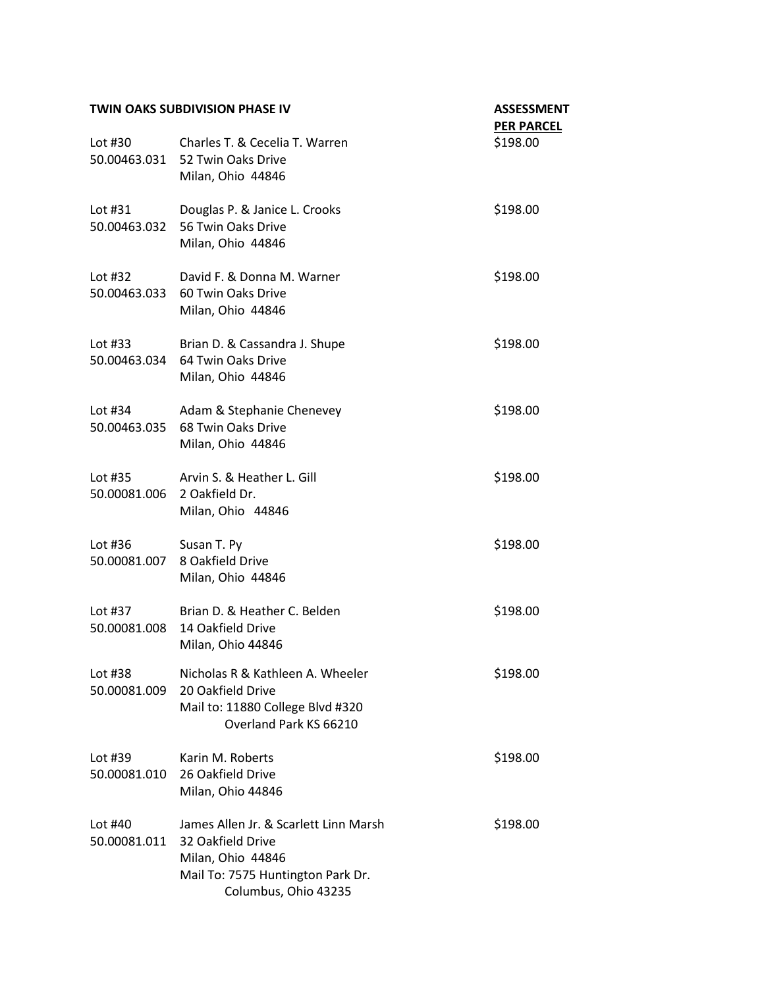| <b>TWIN OAKS SUBDIVISION PHASE IV</b> |                                                                                                                                              | <b>ASSESSMENT</b><br><b>PER PARCEL</b> |
|---------------------------------------|----------------------------------------------------------------------------------------------------------------------------------------------|----------------------------------------|
| Lot #30                               | Charles T. & Cecelia T. Warren<br>50.00463.031 52 Twin Oaks Drive<br>Milan, Ohio 44846                                                       | \$198.00                               |
| Lot $#31$<br>50.00463.032             | Douglas P. & Janice L. Crooks<br>56 Twin Oaks Drive<br>Milan, Ohio 44846                                                                     | \$198.00                               |
| Lot $#32$                             | David F. & Donna M. Warner<br>50.00463.033 60 Twin Oaks Drive<br>Milan, Ohio 44846                                                           | \$198.00                               |
| Lot $#33$                             | Brian D. & Cassandra J. Shupe<br>50.00463.034    64 Twin Oaks Drive<br>Milan, Ohio 44846                                                     | \$198.00                               |
| Lot $#34$<br>50.00463.035             | Adam & Stephanie Chenevey<br>68 Twin Oaks Drive<br>Milan, Ohio 44846                                                                         | \$198.00                               |
| Lot #35<br>50.00081.006               | Arvin S. & Heather L. Gill<br>2 Oakfield Dr.<br>Milan, Ohio 44846                                                                            | \$198.00                               |
| Lot $#36$<br>50.00081.007             | Susan T. Py<br>8 Oakfield Drive<br>Milan, Ohio 44846                                                                                         | \$198.00                               |
| Lot #37<br>50.00081.008               | Brian D. & Heather C. Belden<br>14 Oakfield Drive<br>Milan, Ohio 44846                                                                       | \$198.00                               |
| Lot #38<br>50.00081.009               | Nicholas R & Kathleen A. Wheeler<br>20 Oakfield Drive<br>Mail to: 11880 College Blvd #320<br>Overland Park KS 66210                          | \$198.00                               |
| Lot #39<br>50.00081.010               | Karin M. Roberts<br>26 Oakfield Drive<br>Milan, Ohio 44846                                                                                   | \$198.00                               |
| Lot #40<br>50.00081.011               | James Allen Jr. & Scarlett Linn Marsh<br>32 Oakfield Drive<br>Milan, Ohio 44846<br>Mail To: 7575 Huntington Park Dr.<br>Columbus, Ohio 43235 | \$198.00                               |